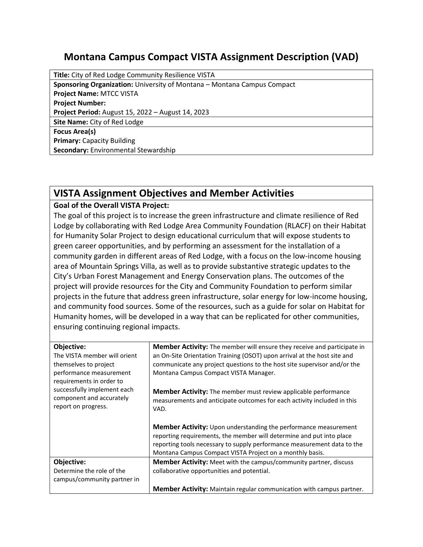## **Montana Campus Compact VISTA Assignment Description (VAD)**

**Title:** City of Red Lodge Community Resilience VISTA **Sponsoring Organization:** University of Montana – Montana Campus Compact **Project Name:** MTCC VISTA **Project Number: Project Period:** August 15, 2022 – August 14, 2023 **Site Name:** City of Red Lodge **Focus Area(s) Primary:** Capacity Building **Secondary:** Environmental Stewardship

## **VISTA Assignment Objectives and Member Activities**

## **Goal of the Overall VISTA Project:**

The goal of this project is to increase the green infrastructure and climate resilience of Red Lodge by collaborating with Red Lodge Area Community Foundation (RLACF) on their Habitat for Humanity Solar Project to design educational curriculum that will expose students to green career opportunities, and by performing an assessment for the installation of a community garden in different areas of Red Lodge, with a focus on the low-income housing area of Mountain Springs Villa, as well as to provide substantive strategic updates to the City's Urban Forest Management and Energy Conservation plans. The outcomes of the project will provide resources for the City and Community Foundation to perform similar projects in the future that address green infrastructure, solar energy for low-income housing, and community food sources. Some of the resources, such as a guide for solar on Habitat for Humanity homes, will be developed in a way that can be replicated for other communities, ensuring continuing regional impacts.

| Objective:                                              | <b>Member Activity:</b> The member will ensure they receive and participate in                                                                                                                                                                                                 |
|---------------------------------------------------------|--------------------------------------------------------------------------------------------------------------------------------------------------------------------------------------------------------------------------------------------------------------------------------|
| The VISTA member will orient<br>themselves to project   | an On-Site Orientation Training (OSOT) upon arrival at the host site and<br>communicate any project questions to the host site supervisor and/or the                                                                                                                           |
| performance measurement<br>requirements in order to     | Montana Campus Compact VISTA Manager.                                                                                                                                                                                                                                          |
| successfully implement each<br>component and accurately | <b>Member Activity:</b> The member must review applicable performance<br>measurements and anticipate outcomes for each activity included in this                                                                                                                               |
| report on progress.                                     | VAD.                                                                                                                                                                                                                                                                           |
|                                                         | Member Activity: Upon understanding the performance measurement<br>reporting requirements, the member will determine and put into place<br>reporting tools necessary to supply performance measurement data to the<br>Montana Campus Compact VISTA Project on a monthly basis. |
| Objective:                                              | Member Activity: Meet with the campus/community partner, discuss                                                                                                                                                                                                               |
| Determine the role of the                               | collaborative opportunities and potential.                                                                                                                                                                                                                                     |
| campus/community partner in                             |                                                                                                                                                                                                                                                                                |
|                                                         | <b>Member Activity:</b> Maintain regular communication with campus partner.                                                                                                                                                                                                    |